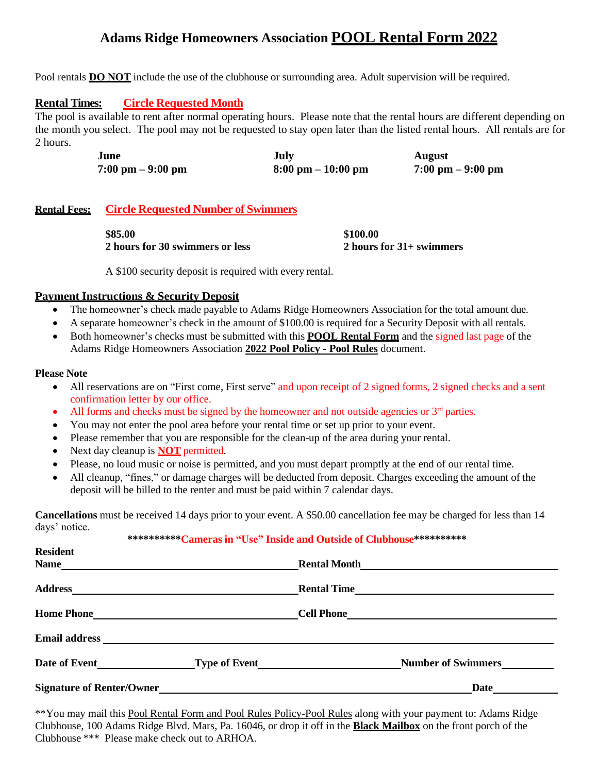# **Adams Ridge Homeowners Association POOL Rental Form 2022**

Pool rentals **DO NOT** include the use of the clubhouse or surrounding area. Adult supervision will be required.

## **Rental Times: Circle Requested Month**

The pool is available to rent after normal operating hours. Please note that the rental hours are different depending on the month you select. The pool may not be requested to stay open later than the listed rental hours. All rentals are for 2 hours.

| June                                | July                                 | <b>August</b>                       |
|-------------------------------------|--------------------------------------|-------------------------------------|
| $7:00 \text{ pm} - 9:00 \text{ pm}$ | $8:00 \text{ pm} - 10:00 \text{ pm}$ | $7:00 \text{ pm} - 9:00 \text{ pm}$ |

## **Rental Fees: Circle Requested Number of Swimmers**

| \$85.00                                | \$100.00                   |
|----------------------------------------|----------------------------|
| <b>2 hours for 30 swimmers or less</b> | 2 hours for $31+$ swimmers |

A \$100 security deposit is required with every rental.

## **Payment Instructions & Security Deposit**

- The homeowner's check made payable to Adams Ridge Homeowners Association for the total amount due.
- A separate homeowner's check in the amount of \$100.00 is required for a Security Deposit with all rentals.
- Both homeowner's checks must be submitted with this **POOL Rental Form** and the signed last page of the Adams Ridge Homeowners Association **2022 Pool Policy - Pool Rules** document.

#### **Please Note**

- All reservations are on "First come, First serve" and upon receipt of 2 signed forms, 2 signed checks and a sent confirmation letter by our office.
- All forms and checks must be signed by the homeowner and not outside agencies or  $3<sup>rd</sup>$  parties.
- You may not enter the pool area before your rental time or set up prior to your event.
- Please remember that you are responsible for the clean-up of the area during your rental.
- Next day cleanup is **NOT** permitted.
- Please, no loud music or noise is permitted, and you must depart promptly at the end of our rental time.
- All cleanup, "fines," or damage charges will be deducted from deposit. Charges exceeding the amount of the deposit will be billed to the renter and must be paid within 7 calendar days.

**Cancellations** must be received 14 days prior to your event. A \$50.00 cancellation fee may be charged for less than 14 days' notice.

#### **\*\*\*\*\*\*\*\*\*\*Cameras in "Use" Inside and Outside of Clubhouse\*\*\*\*\*\*\*\*\*\***

| <b>Resident</b>                                                                                                                 |                           |  |
|---------------------------------------------------------------------------------------------------------------------------------|---------------------------|--|
| Name_<br><u> 1989 - Johann Stoff, deutscher Stoffen und der Stoffen und der Stoffen und der Stoffen und der Stoffen und der</u> |                           |  |
|                                                                                                                                 |                           |  |
|                                                                                                                                 |                           |  |
|                                                                                                                                 |                           |  |
|                                                                                                                                 | <b>Number of Swimmers</b> |  |
|                                                                                                                                 | Date                      |  |

\*\*You may mail this Pool Rental Form and Pool Rules Policy-Pool Rules along with your payment to: Adams Ridge Clubhouse, 100 Adams Ridge Blvd. Mars, Pa. 16046, or drop it off in the **Black Mailbox** on the front porch of the Clubhouse \*\*\* Please make check out to ARHOA.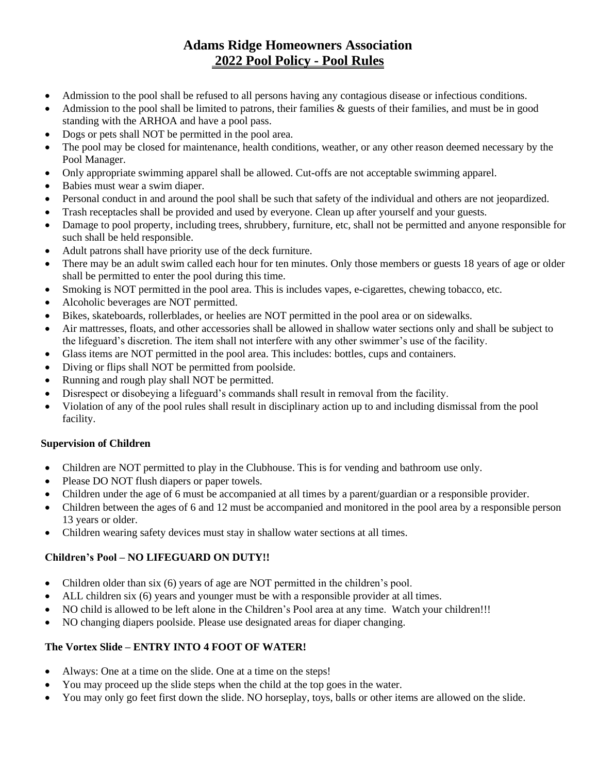# **Adams Ridge Homeowners Association 2022 Pool Policy - Pool Rules**

- Admission to the pool shall be refused to all persons having any contagious disease or infectious conditions.
- Admission to the pool shall be limited to patrons, their families  $\&$  guests of their families, and must be in good standing with the ARHOA and have a pool pass.
- Dogs or pets shall NOT be permitted in the pool area.
- The pool may be closed for maintenance, health conditions, weather, or any other reason deemed necessary by the Pool Manager.
- Only appropriate swimming apparel shall be allowed. Cut-offs are not acceptable swimming apparel.
- Babies must wear a swim diaper.
- Personal conduct in and around the pool shall be such that safety of the individual and others are not jeopardized.
- Trash receptacles shall be provided and used by everyone. Clean up after yourself and your guests.
- Damage to pool property, including trees, shrubbery, furniture, etc, shall not be permitted and anyone responsible for such shall be held responsible.
- Adult patrons shall have priority use of the deck furniture.
- There may be an adult swim called each hour for ten minutes. Only those members or guests 18 years of age or older shall be permitted to enter the pool during this time.
- Smoking is NOT permitted in the pool area. This is includes vapes, e-cigarettes, chewing tobacco, etc.
- Alcoholic beverages are NOT permitted.
- Bikes, skateboards, rollerblades, or heelies are NOT permitted in the pool area or on sidewalks.
- Air mattresses, floats, and other accessories shall be allowed in shallow water sections only and shall be subject to the lifeguard's discretion. The item shall not interfere with any other swimmer's use of the facility.
- Glass items are NOT permitted in the pool area. This includes: bottles, cups and containers.
- Diving or flips shall NOT be permitted from poolside.
- Running and rough play shall NOT be permitted.
- Disrespect or disobeying a lifeguard's commands shall result in removal from the facility.
- Violation of any of the pool rules shall result in disciplinary action up to and including dismissal from the pool facility.

# **Supervision of Children**

- Children are NOT permitted to play in the Clubhouse. This is for vending and bathroom use only.
- Please DO NOT flush diapers or paper towels.
- Children under the age of 6 must be accompanied at all times by a parent/guardian or a responsible provider.
- Children between the ages of 6 and 12 must be accompanied and monitored in the pool area by a responsible person 13 years or older.
- Children wearing safety devices must stay in shallow water sections at all times.

# **Children's Pool – NO LIFEGUARD ON DUTY!!**

- Children older than six (6) years of age are NOT permitted in the children's pool.
- ALL children six (6) years and younger must be with a responsible provider at all times.
- NO child is allowed to be left alone in the Children's Pool area at any time. Watch your children!!!
- NO changing diapers poolside. Please use designated areas for diaper changing.

# **The Vortex Slide – ENTRY INTO 4 FOOT OF WATER!**

- Always: One at a time on the slide. One at a time on the steps!
- You may proceed up the slide steps when the child at the top goes in the water.
- You may only go feet first down the slide. NO horseplay, toys, balls or other items are allowed on the slide.